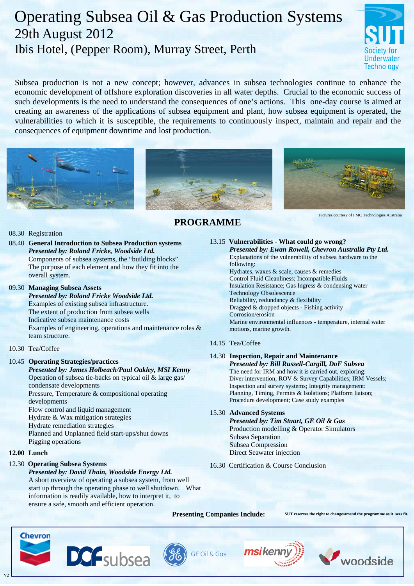# Operating Subsea Oil & Gas Production Systems 29th August 2012 Ibis Hotel, (Pepper Room), Murray Street, Perth



Subsea production is not a new concept; however, advances in subsea technologies continue to enhance the economic development of offshore exploration discoveries in all water depths. Crucial to the economic success of such developments is the need to understand the consequences of one's actions. This one-day course is aimed at creating an awareness of the applications of subsea equipment and plant, how subsea equipment is operated, the vulnerabilities to which it is susceptible, the requirements to continuously inspect, maintain and repair and the consequences of equipment downtime and lost production.





 **PROGRAMME**



Pictures courtesy of FMC Technologies Australia

## 08.30 Registration

08.40 **General Introduction to Subsea Production systems** *Presented by: Roland Fricke, Woodside Ltd.* Components of subsea systems, the "building blocks" The purpose of each element and how they fit into the overall system.

#### 09.30 **Managing Subsea Assets**

#### *Presented by: Roland Fricke Woodside Ltd.* Examples of existing subsea infrastructure. The extent of production from subsea wells Indicative subsea maintenance costs Examples of engineering, operations and maintenance roles & team structure.

## 10.30 Tea/Coffee

## 10.45 **Operating Strategies/practices**

*Presented by: James Holbeach/Paul Oakley, MSI Kenny* Operation of subsea tie-backs on typical oil & large gas/ condensate developments Pressure, Temperature & compositional operating

developments

Flow control and liquid management

Hydrate & Wax mitigation strategies

Hydrate remediation strategies

 Planned and Unplanned field start-ups/shut downs Pigging operations

## **12.00 Lunch**

## 12.30 **Operating Subsea Systems**

*Presented by: David Thain, Woodside Energy Ltd.*  A short overview of operating a subsea system, from well start up through the operating phase to well shutdown. What information is readily available, how to interpret it, to ensure a safe, smooth and efficient operation.

**DCF**subsea

## 13.15 **Vulnerabilities** - **What could go wrong?**

 *Presented by: Ewan Rowell, Chevron Australia Pty Ltd.*  Explanations of the vulnerability of subsea hardware to the following: Hydrates, waxes & scale, causes & remedies Control Fluid Cleanliness; Incompatible Fluids Insulation Resistance; Gas Ingress & condensing water Technology Obsolescence Reliability, redundancy & flexibility Dragged & dropped objects - Fishing activity Corrosion/erosion Marine environmental influences - temperature, internal water motions, marine growth.

## 14.15 Tea/Coffee

## 14.30 **Inspection, Repair and Maintenance**

*Presented by: Bill Russell-Cargill, DoF Subsea* The need for IRM and how it is carried out, exploring: Diver intervention; ROV & Survey Capabilities; IRM Vessels; Inspection and survey systems; Integrity management: Planning, Timing, Permits & Isolations; Platform liaison; Procedure development; Case study examples

#### 15.30 **Advanced Systems**

*Presented by: Tim Stuart, GE Oil & Gas* Production modelling & Operator Simulators Subsea Separation Subsea Compression Direct Seawater injection

16.30 Certification & Course Conclusion

msiken



V2



**Presenting Companies Include:** SUT reserves the right to change/amend the programme as it sees fit.